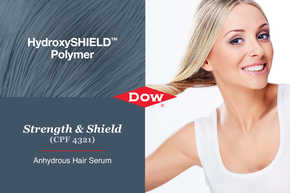## HydroxySHIELD™ Polymer

# **DOW**

### *Strength & Shield* **(CPF 4321)**

Anhydrous Hair Serum